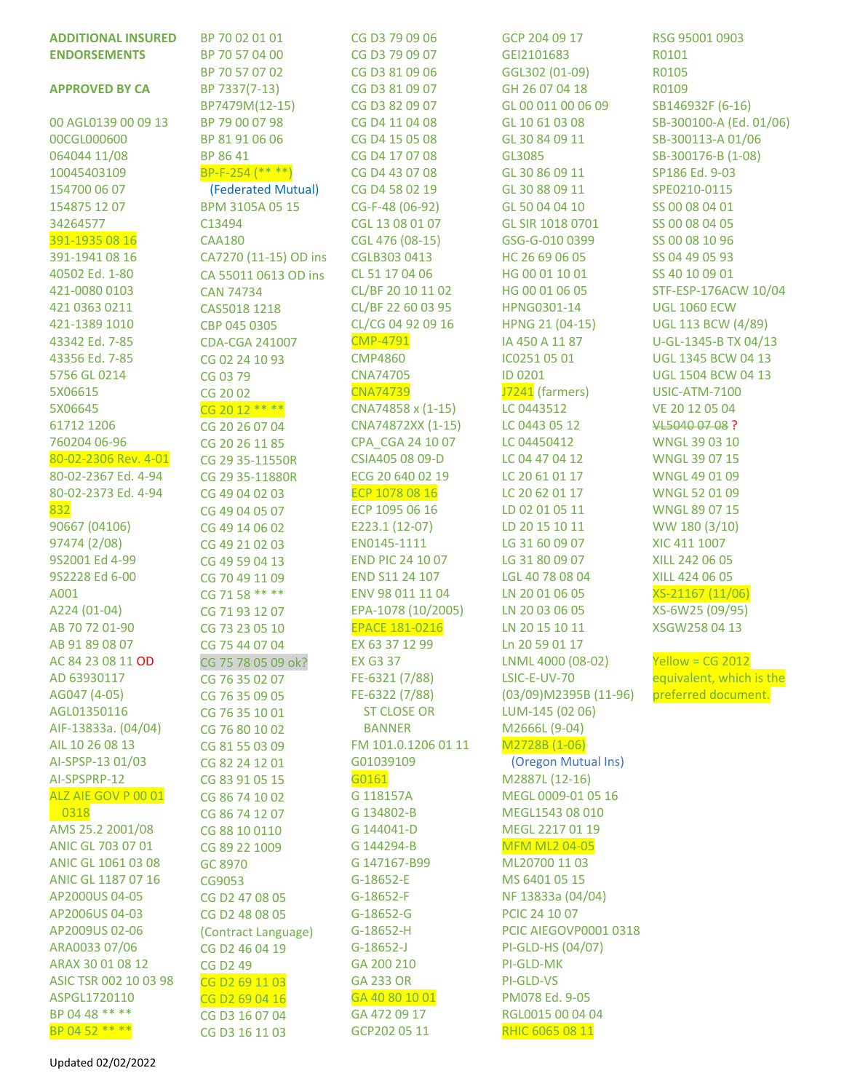| <b>ADDITIONAL INSURED</b>        | BP 70 02 01 01                   | CG D3 79 09 06                    | GCP 204 09 17                  | RSG 95001 0903                                    |
|----------------------------------|----------------------------------|-----------------------------------|--------------------------------|---------------------------------------------------|
| <b>ENDORSEMENTS</b>              | BP 70 57 04 00                   | CG D3 79 09 07                    | GEI2101683                     | R0101                                             |
|                                  | BP 70 57 07 02                   | CG D3 81 09 06                    | GGL302 (01-09)                 | R0105                                             |
| <b>APPROVED BY CA</b>            | BP 7337(7-13)                    | CG D3 81 09 07                    | GH 26 07 04 18                 | R0109                                             |
|                                  | BP7479M(12-15)                   | CG D3 82 09 07                    | GL 00 011 00 06 09             | SB146932F (6-16)                                  |
| 00 AGL0139 00 09 13              | BP 79 00 07 98                   | CG D4 11 04 08                    | GL 10 61 03 08                 | SB-300100-A (Ed. 01/06)                           |
| 00CGL000600                      | BP 81 91 06 06                   | CG D4 15 05 08                    | GL 30 84 09 11                 | SB-300113-A 01/06                                 |
| 064044 11/08                     | BP 86 41                         | CG D4 17 07 08                    | GL3085                         | SB-300176-B (1-08)                                |
| 10045403109                      | $BP-F-254$ (** **)               | CG D4 43 07 08                    | GL 30 86 09 11                 | SP186 Ed. 9-03                                    |
| 154700 06 07                     | (Federated Mutual)               | CG D4 58 02 19                    | GL 30 88 09 11                 | SPE0210-0115                                      |
| 154875 12 07                     | BPM 3105A 05 15                  | CG-F-48 (06-92)                   | GL 50 04 04 10                 | SS 00 08 04 01                                    |
| 34264577                         | C13494                           | CGL 13 08 01 07                   | GL SIR 1018 0701               | SS 00 08 04 05                                    |
| 391-1935 08 16                   | <b>CAA180</b>                    | CGL 476 (08-15)                   | GSG-G-010 0399                 | SS 00 08 10 96                                    |
| 391-1941 08 16                   | CA7270 (11-15) OD ins            | CGLB303 0413                      | HC 26 69 06 05                 | SS 04 49 05 93                                    |
| 40502 Ed. 1-80                   | CA 55011 0613 OD ins             | CL 51 17 04 06                    | HG 00 01 10 01                 | SS 40 10 09 01                                    |
| 421-0080 0103                    | <b>CAN 74734</b>                 | CL/BF 20 10 11 02                 | HG 00 01 06 05                 | STF-ESP-176ACW 10/04                              |
| 421 0363 0211                    | CAS5018 1218                     | CL/BF 22 60 03 95                 | HPNG0301-14                    | <b>UGL 1060 ECW</b>                               |
| 421-1389 1010                    | CBP 045 0305                     | CL/CG 04 92 09 16                 | HPNG 21 (04-15)                | <b>UGL 113 BCW (4/89)</b>                         |
| 43342 Ed. 7-85<br>43356 Ed. 7-85 | CDA-CGA 241007                   | <b>CMP-4791</b><br><b>CMP4860</b> | IA 450 A 11 87<br>IC0251 05 01 | U-GL-1345-B TX 04/13<br><b>UGL 1345 BCW 04 13</b> |
| 5756 GL 0214                     | CG 02 24 10 93                   | <b>CNA74705</b>                   | ID 0201                        | <b>UGL 1504 BCW 04 13</b>                         |
| 5X06615                          | CG 03 79                         | <b>CNA74739</b>                   | J7241 (farmers)                | <b>USIC-ATM-7100</b>                              |
| 5X06645                          | CG 2002                          | CNA74858 x (1-15)                 | LC 0443512                     | VE 20 12 05 04                                    |
| 61712 1206                       | CG 20 12 ** **<br>CG 20 26 07 04 | CNA74872XX (1-15)                 | LC 0443 05 12                  | VL5040 07 08 ?                                    |
| 760204 06-96                     | CG 20 26 11 85                   | CPA_CGA 24 10 07                  | LC 04450412                    | WNGL 39 03 10                                     |
| 80-02-2306 Rev. 4-01             | CG 29 35-11550R                  | CSIA405 08 09-D                   | LC 04 47 04 12                 | WNGL 39 07 15                                     |
| 80-02-2367 Ed. 4-94              | CG 29 35-11880R                  | ECG 20 640 02 19                  | LC 20 61 01 17                 | WNGL 49 01 09                                     |
| 80-02-2373 Ed. 4-94              | CG 49 04 02 03                   | ECP 1078 08 16                    | LC 20 62 01 17                 | WNGL 52 01 09                                     |
| 832                              | CG 49 04 05 07                   | ECP 1095 06 16                    | LD 02 01 05 11                 | WNGL 89 07 15                                     |
| 90667 (04106)                    | CG 49 14 06 02                   | E223.1 (12-07)                    | LD 20 15 10 11                 | WW 180 (3/10)                                     |
| 97474 (2/08)                     | CG 49 21 02 03                   | EN0145-1111                       | LG 31 60 09 07                 | XIC 411 1007                                      |
| 9S2001 Ed 4-99                   | CG 49 59 04 13                   | <b>END PIC 24 10 07</b>           | LG 31 80 09 07                 | XILL 242 06 05                                    |
| 9S2228 Ed 6-00                   | CG 70 49 11 09                   | END S11 24 107                    | LGL 40 78 08 04                | XILL 424 06 05                                    |
| A001                             | CG 71 58 ** **                   | ENV 98 011 11 04                  | LN 20 01 06 05                 | XS-21167 (11/06)                                  |
| A224 (01-04)                     | CG 71 93 12 07                   | EPA-1078 (10/2005)                | LN 20 03 06 05                 | XS-6W25 (09/95)                                   |
| AB 70 72 01-90                   | CG 73 23 05 10                   | <b>EPACE 181-0216</b>             | LN 20 15 10 11                 | XSGW2580413                                       |
| AB 91 89 08 07                   | CG 75 44 07 04                   | EX 63 37 12 99                    | Ln 20 59 01 17                 |                                                   |
| AC 84 23 08 11 OD                | CG 75 78 05 09 ok?               | <b>EX G3 37</b>                   | LNML 4000 (08-02)              | Yellow = $CG 2012$                                |
| AD 63930117                      | CG 76 35 02 07                   | FE-6321 (7/88)                    | LSIC-E-UV-70                   | equivalent, which is the                          |
| AG047 (4-05)                     | CG 76 35 09 05                   | FE-6322 (7/88)                    | $(03/09)$ M2395B $(11-96)$     | preferred document.                               |
| AGL01350116                      | CG 76 35 10 01                   | <b>ST CLOSE OR</b>                | LUM-145 (02 06)                |                                                   |
| AIF-13833a. (04/04)              | CG 76 80 10 02                   | <b>BANNER</b>                     | M2666L (9-04)                  |                                                   |
| AIL 10 26 08 13                  | CG 81 55 03 09                   | FM 101.0.1206 01 11               | M2728B (1-06)                  |                                                   |
| AI-SPSP-13 01/03                 | CG 82 24 12 01                   | G01039109                         | (Oregon Mutual Ins)            |                                                   |
| AI-SPSPRP-12                     | CG 83 91 05 15                   | G0161                             | M2887L (12-16)                 |                                                   |
| ALZ AIE GOV P 00 01              | CG 86 74 10 02                   | G 118157A                         | MEGL 0009-01 05 16             |                                                   |
| 0318                             | CG 86 74 12 07                   | G 134802-B                        | MEGL1543 08 010                |                                                   |
| AMS 25.2 2001/08                 | CG 88 10 0110                    | G 144041-D                        | MEGL 2217 01 19                |                                                   |
| ANIC GL 703 07 01                | CG 89 22 1009                    | G 144294-B                        | <b>MFM ML2 04-05</b>           |                                                   |
| ANIC GL 1061 03 08               | GC 8970                          | G 147167-B99                      | ML20700 11 03                  |                                                   |
| ANIC GL 1187 07 16               | CG9053                           | G-18652-E                         | MS 6401 05 15                  |                                                   |
| AP2000US 04-05                   | CG D2 47 08 05                   | G-18652-F                         | NF 13833a (04/04)              |                                                   |
| AP2006US 04-03                   | CG D2 48 08 05                   | $G-18652-G$                       | PCIC 24 10 07                  |                                                   |
| AP2009US 02-06                   | (Contract Language)              | G-18652-H                         | PCIC AIEGOVP0001 0318          |                                                   |
| ARA0033 07/06                    | CG D2 46 04 19                   | $G-18652-J$                       | PI-GLD-HS (04/07)              |                                                   |
| ARAX 30 01 08 12                 | CG D <sub>2</sub> 49             | GA 200 210                        | PI-GLD-MK                      |                                                   |
| ASIC TSR 002 10 03 98            | CG D2 69 11 03                   | <b>GA 233 OR</b>                  | PI-GLD-VS                      |                                                   |
| ASPGL1720110                     | CG D2 69 04 16                   | GA 40 80 10 01                    | PM078 Ed. 9-05                 |                                                   |
| BP 04 48 ** **                   | CG D3 16 07 04                   | GA 472 09 17                      | RGL0015 00 04 04               |                                                   |
| BP 04 52 ** **                   | CG D3 16 11 03                   | GCP202 05 11                      | RHIC 6065 08 11                |                                                   |

- $(11/06)$  $(09/95)$ 04 13
- G 2012 , which is the document.